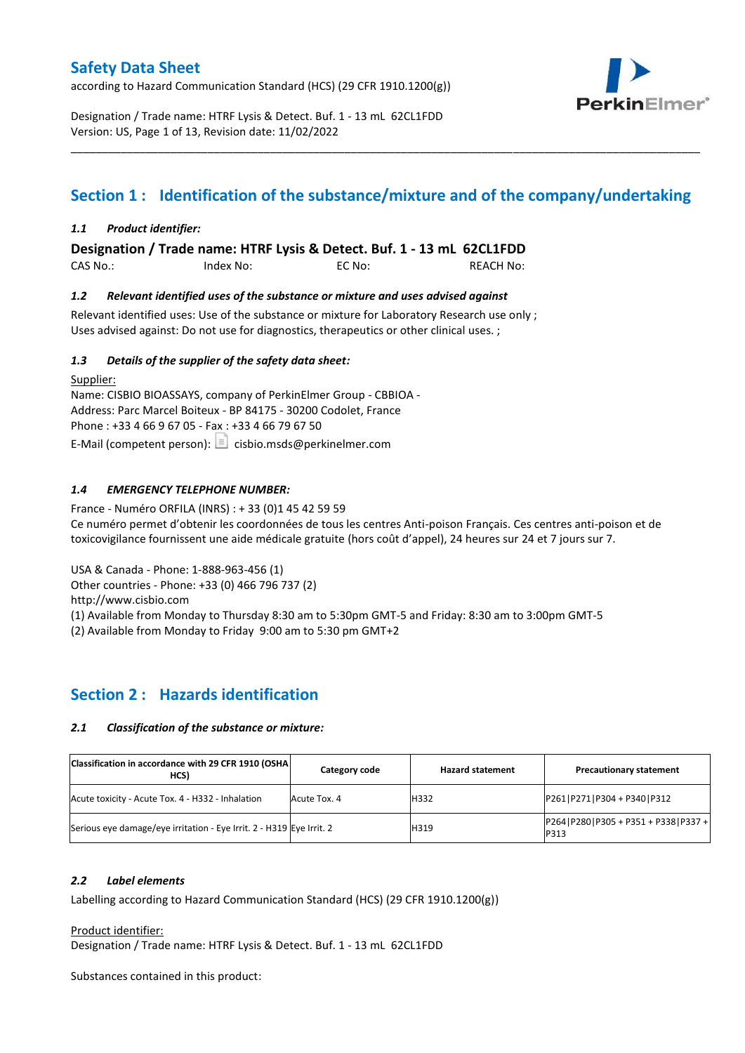according to Hazard Communication Standard (HCS) (29 CFR 1910.1200(g))



Designation / Trade name: HTRF Lysis & Detect. Buf. 1 - 13 mL 62CL1FDD Version: US, Page 1 of 13, Revision date: 11/02/2022

# **Section 1 : Identification of the substance/mixture and of the company/undertaking**

\_\_\_\_\_\_\_\_\_\_\_\_\_\_\_\_\_\_\_\_\_\_\_\_\_\_\_\_\_\_\_\_\_\_\_\_\_\_\_\_\_\_\_\_\_\_\_\_\_\_\_\_\_\_\_\_\_\_\_\_\_\_\_\_\_\_\_\_\_\_\_\_\_\_\_\_\_\_\_\_\_\_\_\_\_\_\_\_\_\_\_\_\_\_\_\_\_\_\_\_\_

### *1.1 Product identifier:*

**Designation / Trade name: HTRF Lysis & Detect. Buf. 1 - 13 mL 62CL1FDD** 

CAS No.: Index No: EC No: REACH No:

### *1.2 Relevant identified uses of the substance or mixture and uses advised against*

Relevant identified uses: Use of the substance or mixture for Laboratory Research use only ; Uses advised against: Do not use for diagnostics, therapeutics or other clinical uses. ;

### *1.3 Details of the supplier of the safety data sheet:*

Supplier: Name: CISBIO BIOASSAYS, company of PerkinElmer Group - CBBIOA - Address: Parc Marcel Boiteux - BP 84175 - 30200 Codolet, France Phone : +33 4 66 9 67 05 - Fax : +33 4 66 79 67 50 E-Mail (competent person):  $\boxed{\equiv}$  cisbio.msds@perkinelmer.com

### *1.4 EMERGENCY TELEPHONE NUMBER:*

France - Numéro ORFILA (INRS) : + 33 (0)1 45 42 59 59 Ce numéro permet d'obtenir les coordonnées de tous les centres Anti-poison Français. Ces centres anti-poison et de toxicovigilance fournissent une aide médicale gratuite (hors coût d'appel), 24 heures sur 24 et 7 jours sur 7.

USA & Canada - Phone: 1-888-963-456 (1)

Other countries - Phone: +33 (0) 466 796 737 (2)

http://www.cisbio.com

(1) Available from Monday to Thursday 8:30 am to 5:30pm GMT-5 and Friday: 8:30 am to 3:00pm GMT-5

(2) Available from Monday to Friday 9:00 am to 5:30 pm GMT+2

# **Section 2 : Hazards identification**

#### *2.1 Classification of the substance or mixture:*

| Classification in accordance with 29 CFR 1910 (OSHA)<br>HCS)         | Category code | <b>Hazard statement</b> | <b>Precautionary statement</b>                    |  |
|----------------------------------------------------------------------|---------------|-------------------------|---------------------------------------------------|--|
| Acute toxicity - Acute Tox. 4 - H332 - Inhalation                    | Acute Tox. 4  | H332                    | P261 P271 P304 + P340 P312                        |  |
| Serious eye damage/eye irritation - Eye Irrit. 2 - H319 Eye Irrit. 2 |               | H319                    | P264   P280   P305 + P351 + P338   P337 +<br>P313 |  |

### *2.2 Label elements*

Labelling according to Hazard Communication Standard (HCS) (29 CFR 1910.1200(g))

Product identifier:

Designation / Trade name: HTRF Lysis & Detect. Buf. 1 - 13 mL 62CL1FDD

Substances contained in this product: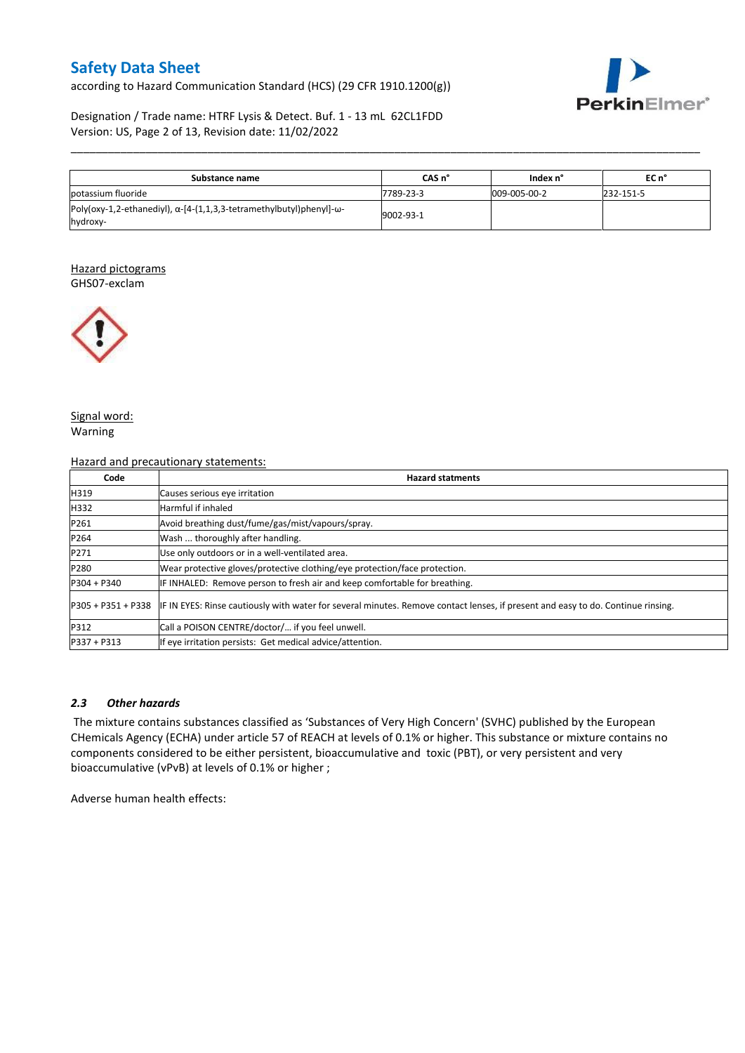according to Hazard Communication Standard (HCS) (29 CFR 1910.1200(g))



### Designation / Trade name: HTRF Lysis & Detect. Buf. 1 - 13 mL 62CL1FDD Version: US, Page 2 of 13, Revision date: 11/02/2022

| Substance name                                                                                   | CAS n°    | Index n°     | EC n°     |
|--------------------------------------------------------------------------------------------------|-----------|--------------|-----------|
| lpotassium fluoride                                                                              | 7789-23-3 | 009-005-00-2 | 232-151-5 |
| Poly(oxy-1,2-ethanediyl), $\alpha$ -[4-(1,1,3,3-tetramethylbutyl)phenyl]- $\omega$ -<br>hydroxy- | 9002-93-1 |              |           |

\_\_\_\_\_\_\_\_\_\_\_\_\_\_\_\_\_\_\_\_\_\_\_\_\_\_\_\_\_\_\_\_\_\_\_\_\_\_\_\_\_\_\_\_\_\_\_\_\_\_\_\_\_\_\_\_\_\_\_\_\_\_\_\_\_\_\_\_\_\_\_\_\_\_\_\_\_\_\_\_\_\_\_\_\_\_\_\_\_\_\_\_\_\_\_\_\_\_\_\_\_

#### Hazard pictograms GHS07-exclam



Signal word: Warning

#### Hazard and precautionary statements:

| Code          | <b>Hazard statments</b>                                                                                                                             |  |  |  |  |  |  |  |
|---------------|-----------------------------------------------------------------------------------------------------------------------------------------------------|--|--|--|--|--|--|--|
| H319          | Causes serious eye irritation                                                                                                                       |  |  |  |  |  |  |  |
| H332          | Harmful if inhaled                                                                                                                                  |  |  |  |  |  |  |  |
| P261          | Avoid breathing dust/fume/gas/mist/vapours/spray.                                                                                                   |  |  |  |  |  |  |  |
| P264          | Wash  thoroughly after handling.                                                                                                                    |  |  |  |  |  |  |  |
| P271          | Use only outdoors or in a well-ventilated area.                                                                                                     |  |  |  |  |  |  |  |
| P280          | Wear protective gloves/protective clothing/eye protection/face protection.                                                                          |  |  |  |  |  |  |  |
| $P304 + P340$ | IF INHALED: Remove person to fresh air and keep comfortable for breathing.                                                                          |  |  |  |  |  |  |  |
|               | P305 + P351 + P338 IF IN EYES: Rinse cautiously with water for several minutes. Remove contact lenses, if present and easy to do. Continue rinsing. |  |  |  |  |  |  |  |
| P312          | Call a POISON CENTRE/doctor/ if you feel unwell.                                                                                                    |  |  |  |  |  |  |  |
| $P337 + P313$ | If eye irritation persists: Get medical advice/attention.                                                                                           |  |  |  |  |  |  |  |

### *2.3 Other hazards*

The mixture contains substances classified as 'Substances of Very High Concern' (SVHC) published by the European CHemicals Agency (ECHA) under article 57 of REACH at levels of 0.1% or higher. This substance or mixture contains no components considered to be either persistent, bioaccumulative and toxic (PBT), or very persistent and very bioaccumulative (vPvB) at levels of 0.1% or higher ;

Adverse human health effects: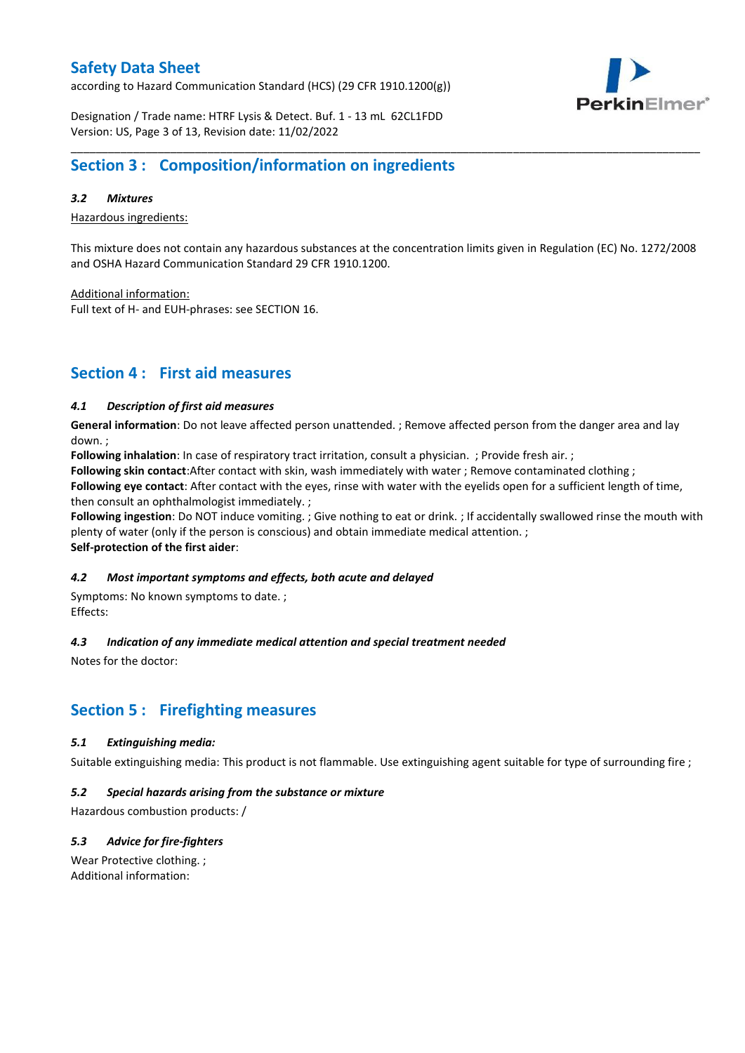according to Hazard Communication Standard (HCS) (29 CFR 1910.1200(g))



Designation / Trade name: HTRF Lysis & Detect. Buf. 1 - 13 mL 62CL1FDD Version: US, Page 3 of 13, Revision date: 11/02/2022

# **Section 3 : Composition/information on ingredients**

### *3.2 Mixtures*

Hazardous ingredients:

This mixture does not contain any hazardous substances at the concentration limits given in Regulation (EC) No. 1272/2008 and OSHA Hazard Communication Standard 29 CFR 1910.1200.

\_\_\_\_\_\_\_\_\_\_\_\_\_\_\_\_\_\_\_\_\_\_\_\_\_\_\_\_\_\_\_\_\_\_\_\_\_\_\_\_\_\_\_\_\_\_\_\_\_\_\_\_\_\_\_\_\_\_\_\_\_\_\_\_\_\_\_\_\_\_\_\_\_\_\_\_\_\_\_\_\_\_\_\_\_\_\_\_\_\_\_\_\_\_\_\_\_\_\_\_\_

Additional information:

Full text of H- and EUH-phrases: see SECTION 16.

# **Section 4 : First aid measures**

### *4.1 Description of first aid measures*

**General information**: Do not leave affected person unattended. ; Remove affected person from the danger area and lay down. ;

**Following inhalation**: In case of respiratory tract irritation, consult a physician. ; Provide fresh air. ;

**Following skin contact**:After contact with skin, wash immediately with water ; Remove contaminated clothing ;

**Following eye contact**: After contact with the eyes, rinse with water with the eyelids open for a sufficient length of time, then consult an ophthalmologist immediately. ;

**Following ingestion**: Do NOT induce vomiting. ; Give nothing to eat or drink. ; If accidentally swallowed rinse the mouth with plenty of water (only if the person is conscious) and obtain immediate medical attention. ; **Self-protection of the first aider**:

#### *4.2 Most important symptoms and effects, both acute and delayed*

Symptoms: No known symptoms to date. ; Effects:

### *4.3 Indication of any immediate medical attention and special treatment needed*

Notes for the doctor:

# **Section 5 : Firefighting measures**

#### *5.1 Extinguishing media:*

Suitable extinguishing media: This product is not flammable. Use extinguishing agent suitable for type of surrounding fire ;

#### *5.2 Special hazards arising from the substance or mixture*

Hazardous combustion products: /

### *5.3 Advice for fire-fighters*

Wear Protective clothing. ; Additional information: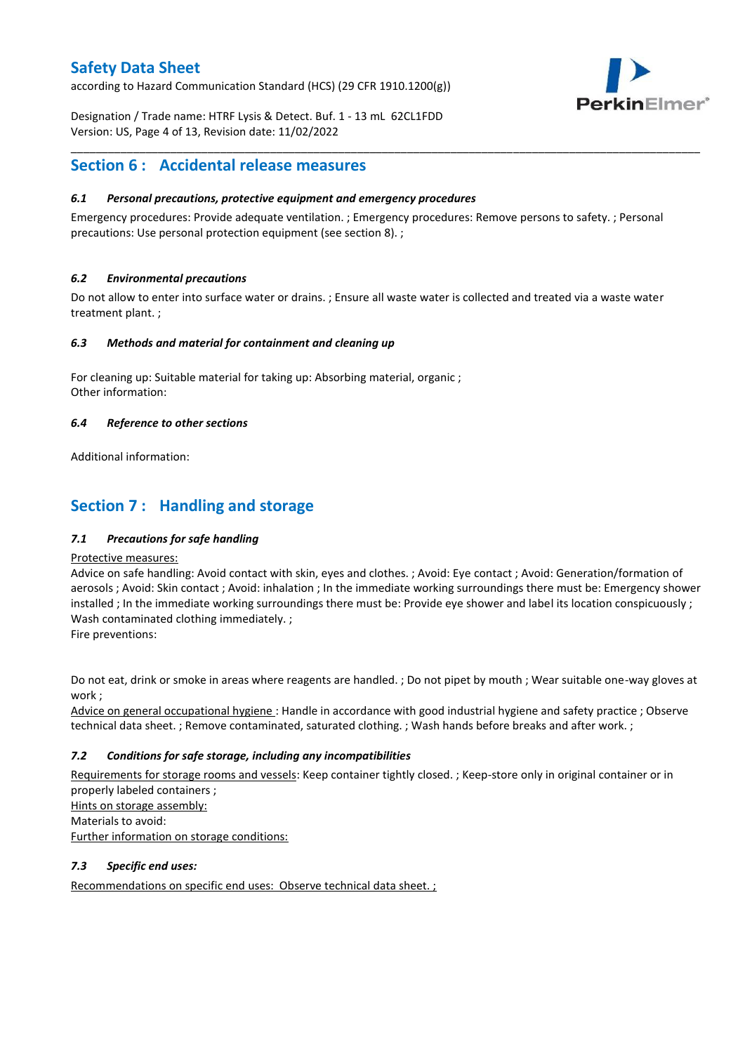according to Hazard Communication Standard (HCS) (29 CFR 1910.1200(g))



Designation / Trade name: HTRF Lysis & Detect. Buf. 1 - 13 mL 62CL1FDD Version: US, Page 4 of 13, Revision date: 11/02/2022

# **Section 6 : Accidental release measures**

### *6.1 Personal precautions, protective equipment and emergency procedures*

Emergency procedures: Provide adequate ventilation. ; Emergency procedures: Remove persons to safety. ; Personal precautions: Use personal protection equipment (see section 8). ;

\_\_\_\_\_\_\_\_\_\_\_\_\_\_\_\_\_\_\_\_\_\_\_\_\_\_\_\_\_\_\_\_\_\_\_\_\_\_\_\_\_\_\_\_\_\_\_\_\_\_\_\_\_\_\_\_\_\_\_\_\_\_\_\_\_\_\_\_\_\_\_\_\_\_\_\_\_\_\_\_\_\_\_\_\_\_\_\_\_\_\_\_\_\_\_\_\_\_\_\_\_

### *6.2 Environmental precautions*

Do not allow to enter into surface water or drains. ; Ensure all waste water is collected and treated via a waste water treatment plant. ;

#### *6.3 Methods and material for containment and cleaning up*

For cleaning up: Suitable material for taking up: Absorbing material, organic ; Other information:

### *6.4 Reference to other sections*

Additional information:

# **Section 7 : Handling and storage**

### *7.1 Precautions for safe handling*

#### Protective measures:

Advice on safe handling: Avoid contact with skin, eyes and clothes. ; Avoid: Eye contact ; Avoid: Generation/formation of aerosols ; Avoid: Skin contact ; Avoid: inhalation ; In the immediate working surroundings there must be: Emergency shower installed ; In the immediate working surroundings there must be: Provide eye shower and label its location conspicuously ; Wash contaminated clothing immediately. ;

Fire preventions:

Do not eat, drink or smoke in areas where reagents are handled. ; Do not pipet by mouth ; Wear suitable one-way gloves at work ;

Advice on general occupational hygiene : Handle in accordance with good industrial hygiene and safety practice ; Observe technical data sheet. ; Remove contaminated, saturated clothing. ; Wash hands before breaks and after work. ;

### *7.2 Conditions for safe storage, including any incompatibilities*

Requirements for storage rooms and vessels: Keep container tightly closed. ; Keep-store only in original container or in properly labeled containers ; Hints on storage assembly: Materials to avoid:

Further information on storage conditions:

#### *7.3 Specific end uses:*

Recommendations on specific end uses: Observe technical data sheet. ;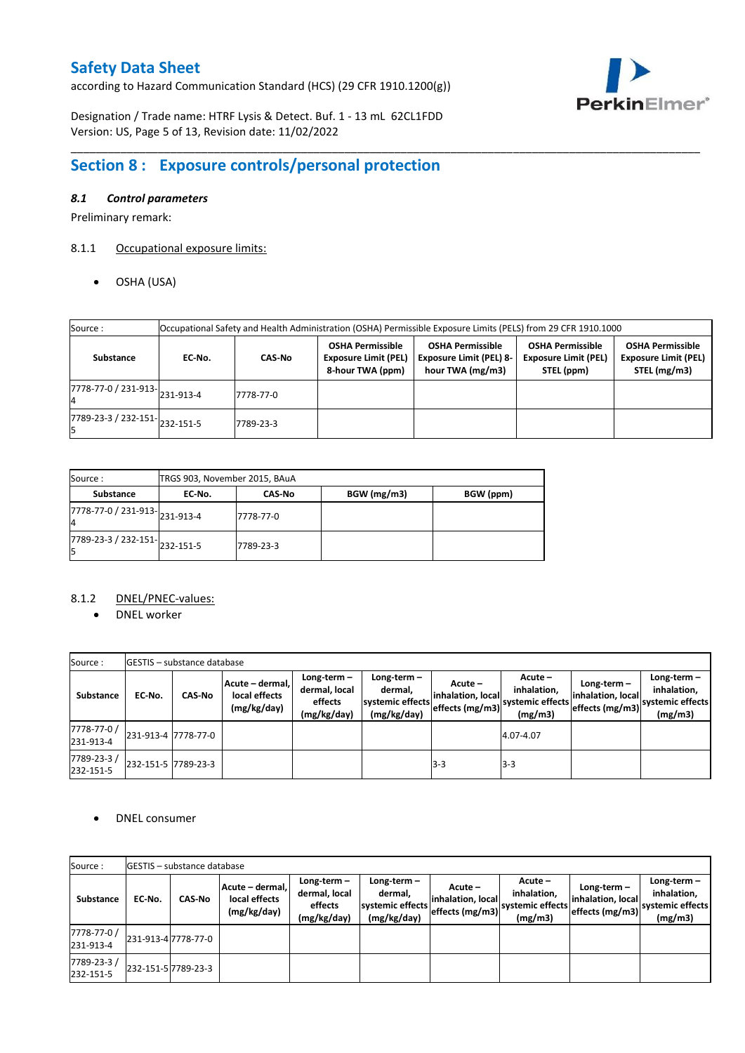according to Hazard Communication Standard (HCS) (29 CFR 1910.1200(g))



Designation / Trade name: HTRF Lysis & Detect. Buf. 1 - 13 mL 62CL1FDD Version: US, Page 5 of 13, Revision date: 11/02/2022

# **Section 8 : Exposure controls/personal protection**

### *8.1 Control parameters*

Preliminary remark:

# 8.1.1 Occupational exposure limits:

OSHA (USA)

| Source:                                                | Occupational Safety and Health Administration (OSHA) Permissible Exposure Limits (PELS) from 29 CFR 1910.1000 |               |                                                                            |                                                                               |                                                                      |                                                                        |  |  |  |  |  |
|--------------------------------------------------------|---------------------------------------------------------------------------------------------------------------|---------------|----------------------------------------------------------------------------|-------------------------------------------------------------------------------|----------------------------------------------------------------------|------------------------------------------------------------------------|--|--|--|--|--|
| Substance                                              | EC-No.                                                                                                        | <b>CAS-No</b> | <b>OSHA Permissible</b><br><b>Exposure Limit (PEL)</b><br>8-hour TWA (ppm) | <b>OSHA Permissible</b><br><b>Exposure Limit (PEL) 8-</b><br>hour TWA (mg/m3) | <b>OSHA Permissible</b><br><b>Exposure Limit (PEL)</b><br>STEL (ppm) | <b>OSHA Permissible</b><br><b>Exposure Limit (PEL)</b><br>STEL (mg/m3) |  |  |  |  |  |
| $\frac{1}{17778-77}$ -0 / 231-913- $\big _{231-913-4}$ |                                                                                                               | 7778-77-0     |                                                                            |                                                                               |                                                                      |                                                                        |  |  |  |  |  |
| 7789-23-3 / 232-151-232-151-5                          |                                                                                                               | 7789-23-3     |                                                                            |                                                                               |                                                                      |                                                                        |  |  |  |  |  |

\_\_\_\_\_\_\_\_\_\_\_\_\_\_\_\_\_\_\_\_\_\_\_\_\_\_\_\_\_\_\_\_\_\_\_\_\_\_\_\_\_\_\_\_\_\_\_\_\_\_\_\_\_\_\_\_\_\_\_\_\_\_\_\_\_\_\_\_\_\_\_\_\_\_\_\_\_\_\_\_\_\_\_\_\_\_\_\_\_\_\_\_\_\_\_\_\_\_\_\_\_

| Source:<br>TRGS 903, November 2015, BAuA                       |        |               |             |           |  |  |  |
|----------------------------------------------------------------|--------|---------------|-------------|-----------|--|--|--|
| <b>Substance</b>                                               | EC No. | <b>CAS-No</b> | BGW (mg/m3) | BGW (ppm) |  |  |  |
| 7778-77-0 / 231-913-231-913-4<br>I4                            |        | 7778-77-0     |             |           |  |  |  |
| $\overline{7789}$ -23-3 / 232-151- $\big  232 - 151 - 5 \big $ |        | 7789-23-3     |             |           |  |  |  |

### 8.1.2 DNEL/PNEC-values:

• DNEL worker

| Source:                  |                     | <b>IGESTIS – substance database</b> |                                                 |                                                          |                                                           |                                                 |                                                         |                                    |                                                                               |  |  |  |  |
|--------------------------|---------------------|-------------------------------------|-------------------------------------------------|----------------------------------------------------------|-----------------------------------------------------------|-------------------------------------------------|---------------------------------------------------------|------------------------------------|-------------------------------------------------------------------------------|--|--|--|--|
| <b>Substance</b>         | EC-No.              | <b>CAS-No</b>                       | Acute - dermal,<br>local effects<br>(mg/kg/day) | $Long-term -$<br>dermal, local<br>effects<br>(mg/kg/day) | Long-term -<br>dermal.<br>systemic effects<br>(mg/kg/day) | Acute –<br>inhalation, local<br>effects (mg/m3) | $Acute -$<br>inhalation.<br>systemic effects<br>(mg/m3) | Long-term $-$<br>inhalation, local | Long-term $-$<br>inhalation.<br>"leffects (mg/m3) systemic effects<br>(mg/m3) |  |  |  |  |
| 7778-77-0 /<br>231-913-4 | 231-913-4 7778-77-0 |                                     |                                                 |                                                          |                                                           |                                                 | 4.07-4.07                                               |                                    |                                                                               |  |  |  |  |
| 7789-23-3/<br>232-151-5  | 232-151-5 7789-23-3 |                                     |                                                 |                                                          |                                                           | $3-3$                                           | $3 - 3$                                                 |                                    |                                                                               |  |  |  |  |

DNEL consumer

| Source:                  |        | <b>IGESTIS - substance database</b> |                                                 |                                                          |                                                             |                                                 |                                                       |                                                     |                                                             |
|--------------------------|--------|-------------------------------------|-------------------------------------------------|----------------------------------------------------------|-------------------------------------------------------------|-------------------------------------------------|-------------------------------------------------------|-----------------------------------------------------|-------------------------------------------------------------|
| <b>Substance</b>         | EC-No. | <b>CAS-No</b>                       | Acute - dermal,<br>local effects<br>(mg/kg/day) | $Long-term -$<br>dermal, local<br>effects<br>(mg/kg/day) | Long-term $-$<br>dermal,<br>systemic effects<br>(mg/kg/day) | Acute –<br>inhalation, local<br>effects (mg/m3) | Acute –<br>inhalation,<br>systemic effects<br>(mg/m3) | Long-term -<br>inhalation, local<br>effects (mg/m3) | Long-term $-$<br>inhalation,<br>systemic effects<br>(mg/m3) |
| 7778-77-0 /<br>231-913-4 |        | 231-913-4 7778-77-0                 |                                                 |                                                          |                                                             |                                                 |                                                       |                                                     |                                                             |
| 7789-23-3/<br>232-151-5  |        | 232-151-5 7789-23-3                 |                                                 |                                                          |                                                             |                                                 |                                                       |                                                     |                                                             |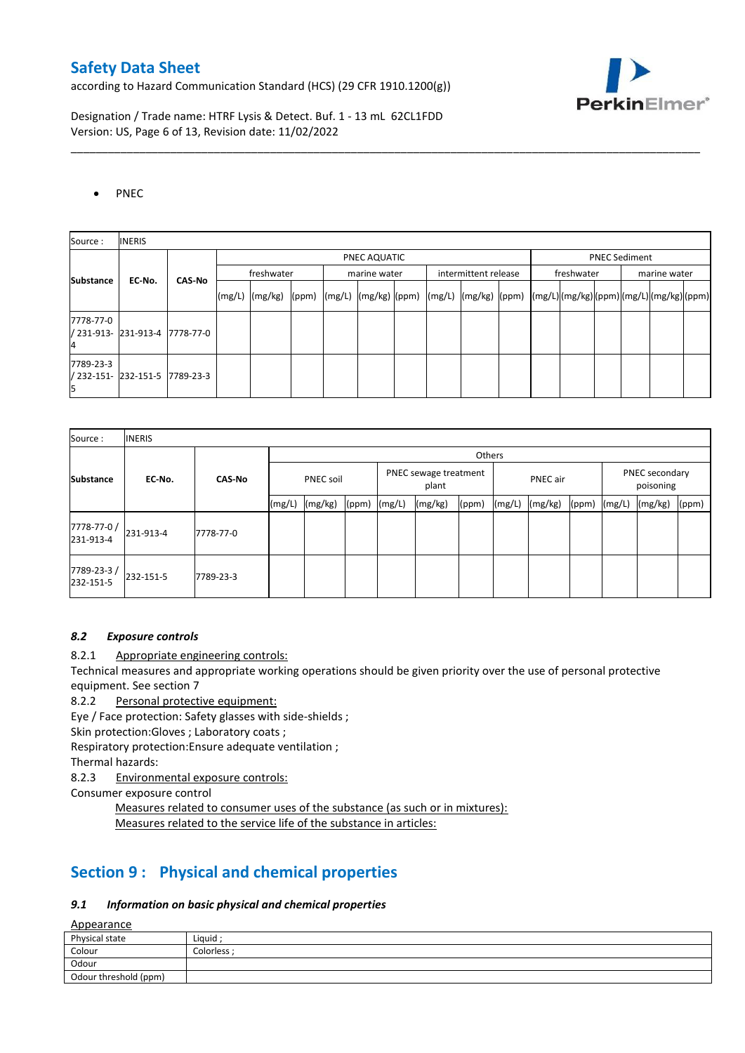according to Hazard Communication Standard (HCS) (29 CFR 1910.1200(g))



Designation / Trade name: HTRF Lysis & Detect. Buf. 1 - 13 mL 62CL1FDD Version: US, Page 6 of 13, Revision date: 11/02/2022

### • PNEC

| Source:          | <b>INERIS</b>                  |               |        |                                                                                                                                                                                                                                                                                                                                                                                                                                                                                                                                                                                     |  |  |              |  |  |                      |  |                      |  |              |  |  |
|------------------|--------------------------------|---------------|--------|-------------------------------------------------------------------------------------------------------------------------------------------------------------------------------------------------------------------------------------------------------------------------------------------------------------------------------------------------------------------------------------------------------------------------------------------------------------------------------------------------------------------------------------------------------------------------------------|--|--|--------------|--|--|----------------------|--|----------------------|--|--------------|--|--|
|                  |                                |               |        | PNEC AQUATIC                                                                                                                                                                                                                                                                                                                                                                                                                                                                                                                                                                        |  |  |              |  |  |                      |  | <b>PNEC Sediment</b> |  |              |  |  |
| <b>Substance</b> | EC-No.                         | <b>CAS-No</b> |        | freshwater                                                                                                                                                                                                                                                                                                                                                                                                                                                                                                                                                                          |  |  | marine water |  |  | intermittent release |  | freshwater           |  | marine water |  |  |
|                  |                                |               | (mg/L) | $\lceil \frac{\text{(mg/kg)}}{\text{(ppm)}} \rceil \cdot \lceil \frac{\text{(mg/L)}}{\text{(mg/kg)}} \rceil \cdot \lceil \frac{\text{(ng/L)}}{\text{(mg/kg)}} \rceil \cdot \lceil \frac{\text{(pg/m)}}{\text{(mg/m)}} \rceil \cdot \lceil \frac{\text{(mg/g)}}{\text{(mg/m)}} \rceil \cdot \lceil \frac{\text{(mg/g)}}{\text{(mg/m)}} \rceil \cdot \lceil \frac{\text{(mg/g)}}{\text{(mg/m)}} \rceil \cdot \lceil \frac{\text{(mg/g)}}{\text{(pg/m)}} \rceil \cdot \lceil \frac{\text{(mg/g)}}{\text{(mg/m)}} \rceil \cdot \lceil \frac{\text{(mg/g)}}{\text{(mg/m)}} \rceil \cdot$ |  |  |              |  |  |                      |  |                      |  |              |  |  |
| 7778-77-0        | / 231-913- 231-913-4 7778-77-0 |               |        |                                                                                                                                                                                                                                                                                                                                                                                                                                                                                                                                                                                     |  |  |              |  |  |                      |  |                      |  |              |  |  |
| 7789-23-3        | / 232-151- 232-151-5 7789-23-3 |               |        |                                                                                                                                                                                                                                                                                                                                                                                                                                                                                                                                                                                     |  |  |              |  |  |                      |  |                      |  |              |  |  |

\_\_\_\_\_\_\_\_\_\_\_\_\_\_\_\_\_\_\_\_\_\_\_\_\_\_\_\_\_\_\_\_\_\_\_\_\_\_\_\_\_\_\_\_\_\_\_\_\_\_\_\_\_\_\_\_\_\_\_\_\_\_\_\_\_\_\_\_\_\_\_\_\_\_\_\_\_\_\_\_\_\_\_\_\_\_\_\_\_\_\_\_\_\_\_\_\_\_\_\_\_

| Source:                 | <b>INERIS</b> |               |                  |         |                                |        |          |       |        |                             |       |        |         |       |
|-------------------------|---------------|---------------|------------------|---------|--------------------------------|--------|----------|-------|--------|-----------------------------|-------|--------|---------|-------|
|                         |               |               |                  | Others  |                                |        |          |       |        |                             |       |        |         |       |
| <b>Substance</b>        | EC-No.        | <b>CAS-No</b> | <b>PNEC soil</b> |         | PNEC sewage treatment<br>plant |        | PNEC air |       |        | PNEC secondary<br>poisoning |       |        |         |       |
|                         |               |               | (mg/L)           | (mg/kg) | (ppm)                          | (mg/L) | (mg/kg)  | (ppm) | (mg/L) | (mg/kg)                     | (ppm) | (mg/L) | (mg/kg) | (ppm) |
| 7778-77-0/<br>231-913-4 | 231-913-4     | 7778-77-0     |                  |         |                                |        |          |       |        |                             |       |        |         |       |
| 7789-23-3/<br>232-151-5 | 232-151-5     | 7789-23-3     |                  |         |                                |        |          |       |        |                             |       |        |         |       |

#### *8.2 Exposure controls*

8.2.1 Appropriate engineering controls:

Technical measures and appropriate working operations should be given priority over the use of personal protective equipment. See section 7

8.2.2 Personal protective equipment:

Eye / Face protection: Safety glasses with side-shields ;

Skin protection:Gloves ; Laboratory coats ;

Respiratory protection:Ensure adequate ventilation ;

Thermal hazards:

8.2.3 Environmental exposure controls:

Consumer exposure control

Measures related to consumer uses of the substance (as such or in mixtures): Measures related to the service life of the substance in articles:

# **Section 9 : Physical and chemical properties**

#### *9.1 Information on basic physical and chemical properties*

Appearance

| $-$                   |             |
|-----------------------|-------------|
| Physical state        | Liauid:     |
| Colour                | Colorless ; |
| Odour                 |             |
| Odour threshold (ppm) |             |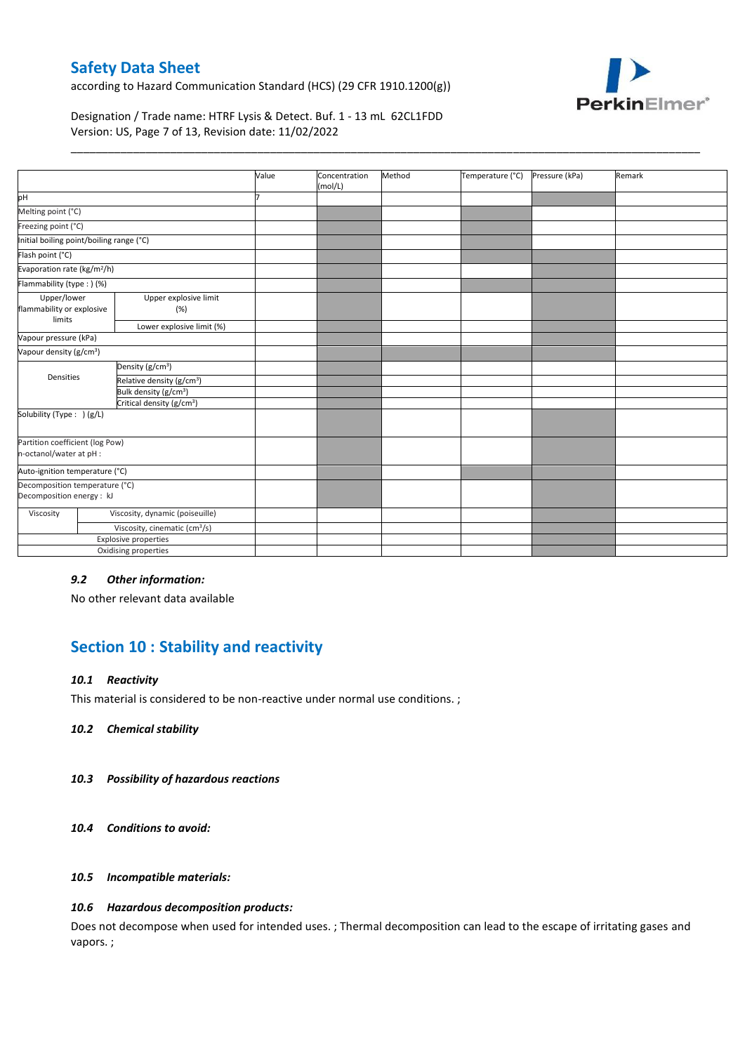according to Hazard Communication Standard (HCS) (29 CFR 1910.1200(g))



### Designation / Trade name: HTRF Lysis & Detect. Buf. 1 - 13 mL 62CL1FDD Version: US, Page 7 of 13, Revision date: 11/02/2022

|                                                             |                                           | Value | Concentration<br>(mol/L) | Method | Temperature (°C) | Pressure (kPa) | Remark |
|-------------------------------------------------------------|-------------------------------------------|-------|--------------------------|--------|------------------|----------------|--------|
| pH                                                          |                                           |       |                          |        |                  |                |        |
| Melting point (°C)                                          |                                           |       |                          |        |                  |                |        |
| Freezing point (°C)                                         |                                           |       |                          |        |                  |                |        |
| Initial boiling point/boiling range (°C)                    |                                           |       |                          |        |                  |                |        |
| Flash point (°C)                                            |                                           |       |                          |        |                  |                |        |
| Evaporation rate (kg/m <sup>2</sup> /h)                     |                                           |       |                          |        |                  |                |        |
| Flammability (type: ) (%)                                   |                                           |       |                          |        |                  |                |        |
| Upper/lower<br>flammability or explosive<br>limits          | Upper explosive limit<br>(%)              |       |                          |        |                  |                |        |
|                                                             | Lower explosive limit (%)                 |       |                          |        |                  |                |        |
| Vapour pressure (kPa)                                       |                                           |       |                          |        |                  |                |        |
| Vapour density (g/cm <sup>3</sup> )                         |                                           |       |                          |        |                  |                |        |
|                                                             | Density (g/cm <sup>3</sup> )              |       |                          |        |                  |                |        |
| Densities                                                   | Relative density (g/cm <sup>3</sup> )     |       |                          |        |                  |                |        |
|                                                             | Bulk density (g/cm <sup>3</sup> )         |       |                          |        |                  |                |        |
|                                                             | Critical density (g/cm <sup>3</sup> )     |       |                          |        |                  |                |        |
| Solubility (Type: ) (g/L)                                   |                                           |       |                          |        |                  |                |        |
| Partition coefficient (log Pow)<br>n-octanol/water at pH :  |                                           |       |                          |        |                  |                |        |
| Auto-ignition temperature (°C)                              |                                           |       |                          |        |                  |                |        |
| Decomposition temperature (°C)<br>Decomposition energy : kJ |                                           |       |                          |        |                  |                |        |
| Viscosity                                                   | Viscosity, dynamic (poiseuille)           |       |                          |        |                  |                |        |
|                                                             | Viscosity, cinematic (cm <sup>3</sup> /s) |       |                          |        |                  |                |        |
|                                                             | <b>Explosive properties</b>               |       |                          |        |                  |                |        |
|                                                             | Oxidising properties                      |       |                          |        |                  |                |        |
|                                                             |                                           |       |                          |        |                  |                |        |

\_\_\_\_\_\_\_\_\_\_\_\_\_\_\_\_\_\_\_\_\_\_\_\_\_\_\_\_\_\_\_\_\_\_\_\_\_\_\_\_\_\_\_\_\_\_\_\_\_\_\_\_\_\_\_\_\_\_\_\_\_\_\_\_\_\_\_\_\_\_\_\_\_\_\_\_\_\_\_\_\_\_\_\_\_\_\_\_\_\_\_\_\_\_\_\_\_\_\_\_\_

#### *9.2 Other information:*

No other relevant data available

# **Section 10 : Stability and reactivity**

#### *10.1 Reactivity*

This material is considered to be non-reactive under normal use conditions. ;

*10.2 Chemical stability*

#### *10.3 Possibility of hazardous reactions*

*10.4 Conditions to avoid:*

#### *10.5 Incompatible materials:*

#### *10.6 Hazardous decomposition products:*

Does not decompose when used for intended uses. ; Thermal decomposition can lead to the escape of irritating gases and vapors. ;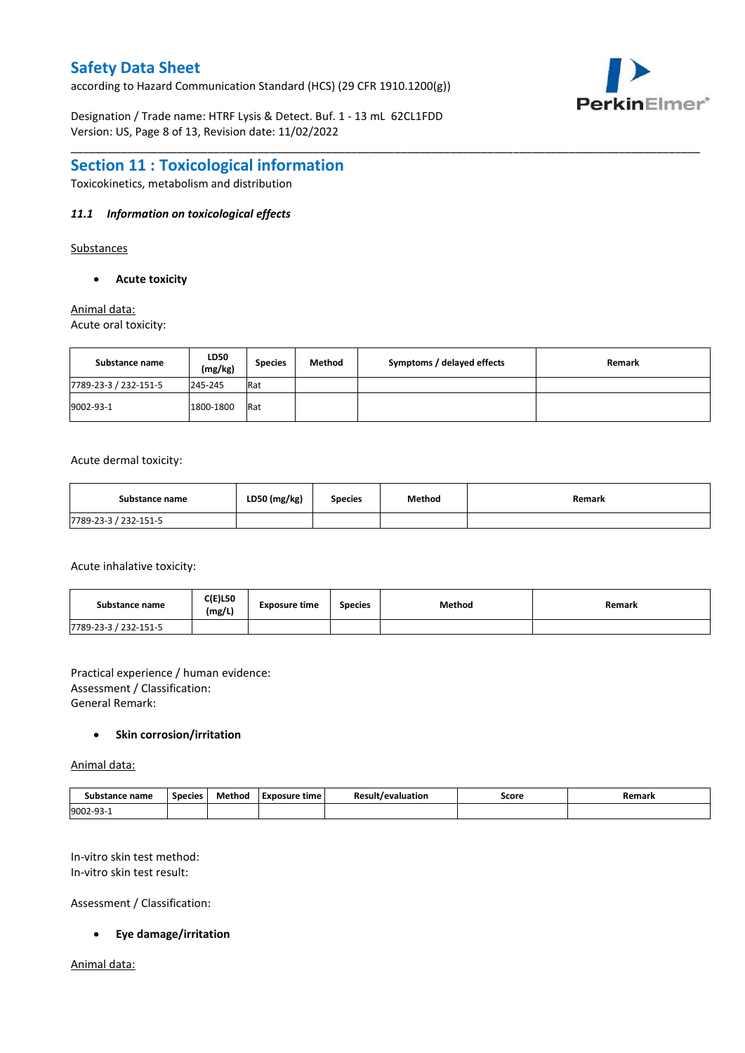according to Hazard Communication Standard (HCS) (29 CFR 1910.1200(g))



Designation / Trade name: HTRF Lysis & Detect. Buf. 1 - 13 mL 62CL1FDD Version: US, Page 8 of 13, Revision date: 11/02/2022

# **Section 11 : Toxicological information**

Toxicokinetics, metabolism and distribution

### *11.1 Information on toxicological effects*

Substances

#### **Acute toxicity**

# Animal data:

Acute oral toxicity:

| Substance name        | LD50<br>(mg/kg) | <b>Species</b> | Method | Symptoms / delayed effects | Remark |
|-----------------------|-----------------|----------------|--------|----------------------------|--------|
| 7789-23-3 / 232-151-5 | 245-245         | Rat            |        |                            |        |
| 9002-93-1             | 1800-1800       | Rat            |        |                            |        |

\_\_\_\_\_\_\_\_\_\_\_\_\_\_\_\_\_\_\_\_\_\_\_\_\_\_\_\_\_\_\_\_\_\_\_\_\_\_\_\_\_\_\_\_\_\_\_\_\_\_\_\_\_\_\_\_\_\_\_\_\_\_\_\_\_\_\_\_\_\_\_\_\_\_\_\_\_\_\_\_\_\_\_\_\_\_\_\_\_\_\_\_\_\_\_\_\_\_\_\_\_

Acute dermal toxicity:

| Substance name        | LD50 (mg/kg) | Species | Method | Remark |
|-----------------------|--------------|---------|--------|--------|
| 7789-23-3 / 232-151-5 |              |         |        |        |

Acute inhalative toxicity:

| Substance name        | <b>C(E)L50</b><br>(mg/L) | <b>Exposure time</b> | <b>Species</b> | Method | Remark |
|-----------------------|--------------------------|----------------------|----------------|--------|--------|
| 7789-23-3 / 232-151-5 |                          |                      |                |        |        |

Practical experience / human evidence: Assessment / Classification: General Remark:

### **Skin corrosion/irritation**

Animal data:

| ice name<br>Subs<br>stance | <b>Species</b> | Method | Exposure time | Result<br>Nuation<br>`′≏valua.<br>$ -$ | Score | Remark |
|----------------------------|----------------|--------|---------------|----------------------------------------|-------|--------|
| 9002-9.                    |                |        |               |                                        |       |        |

In-vitro skin test method: In-vitro skin test result:

Assessment / Classification:

#### **Eye damage/irritation**

Animal data: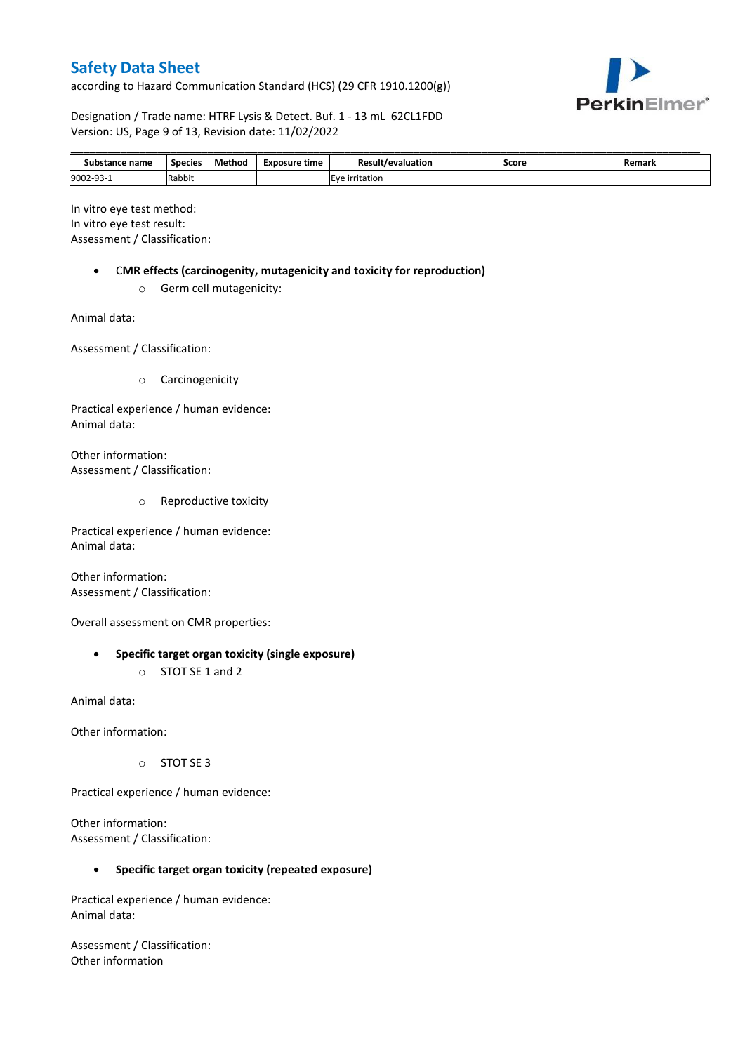according to Hazard Communication Standard (HCS) (29 CFR 1910.1200(g))



Designation / Trade name: HTRF Lysis & Detect. Buf. 1 - 13 mL 62CL1FDD Version: US, Page 9 of 13, Revision date: 11/02/2022

| Substance name | Species | Method | <b>Exposure time</b> | <b>Result/evaluation</b> | Score | Remark |
|----------------|---------|--------|----------------------|--------------------------|-------|--------|
| 9002-93-1      | Rabbit  |        |                      | Eve irritation           |       |        |

In vitro eye test method: In vitro eye test result: Assessment / Classification:

- C**MR effects (carcinogenity, mutagenicity and toxicity for reproduction)**
	- o Germ cell mutagenicity:

Animal data:

Assessment / Classification:

o Carcinogenicity

Practical experience / human evidence: Animal data:

Other information: Assessment / Classification:

o Reproductive toxicity

Practical experience / human evidence: Animal data:

Other information: Assessment / Classification:

Overall assessment on CMR properties:

- **Specific target organ toxicity (single exposure)**
	- o STOT SE 1 and 2

Animal data:

Other information:

o STOT SE 3

Practical experience / human evidence:

Other information: Assessment / Classification:

#### **Specific target organ toxicity (repeated exposure)**

Practical experience / human evidence: Animal data:

Assessment / Classification: Other information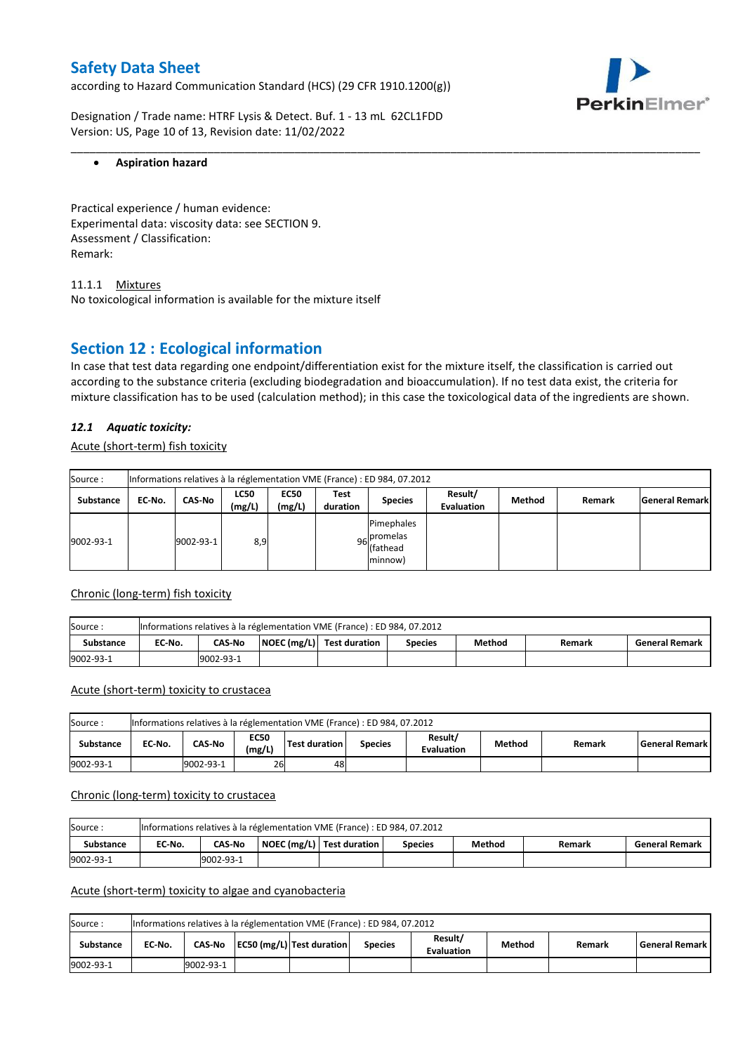according to Hazard Communication Standard (HCS) (29 CFR 1910.1200(g))



Designation / Trade name: HTRF Lysis & Detect. Buf. 1 - 13 mL 62CL1FDD Version: US, Page 10 of 13, Revision date: 11/02/2022

### **Aspiration hazard**

Practical experience / human evidence: Experimental data: viscosity data: see SECTION 9. Assessment / Classification: Remark:

11.1.1 Mixtures No toxicological information is available for the mixture itself

# **Section 12 : Ecological information**

In case that test data regarding one endpoint/differentiation exist for the mixture itself, the classification is carried out according to the substance criteria (excluding biodegradation and bioaccumulation). If no test data exist, the criteria for mixture classification has to be used (calculation method); in this case the toxicological data of the ingredients are shown.

\_\_\_\_\_\_\_\_\_\_\_\_\_\_\_\_\_\_\_\_\_\_\_\_\_\_\_\_\_\_\_\_\_\_\_\_\_\_\_\_\_\_\_\_\_\_\_\_\_\_\_\_\_\_\_\_\_\_\_\_\_\_\_\_\_\_\_\_\_\_\_\_\_\_\_\_\_\_\_\_\_\_\_\_\_\_\_\_\_\_\_\_\_\_\_\_\_\_\_\_\_

### *12.1 Aquatic toxicity:*

Acute (short-term) fish toxicity

| Source:          | Informations relatives à la réglementation VME (France) : ED 984, 07.2012 |           |                       |                       |                  |                                      |                              |        |        |                       |  |
|------------------|---------------------------------------------------------------------------|-----------|-----------------------|-----------------------|------------------|--------------------------------------|------------------------------|--------|--------|-----------------------|--|
| <b>Substance</b> | EC-No.                                                                    | CAS-No    | <b>LC50</b><br>(mg/L) | <b>EC50</b><br>(mg/L) | Test<br>duration | <b>Species</b>                       | Result/<br><b>Evaluation</b> | Method | Remark | <b>General Remark</b> |  |
| 9002-93-1        |                                                                           | 9002-93-1 | 8,9                   |                       |                  | Pimephales<br>96 promelas<br>minnow) |                              |        |        |                       |  |

#### Chronic (long-term) fish toxicity

| Source:   | Informations relatives à la réglementation VME (France) : ED 984, 07.2012 |                                                                                                                   |  |  |  |  |  |  |  |  |  |
|-----------|---------------------------------------------------------------------------|-------------------------------------------------------------------------------------------------------------------|--|--|--|--|--|--|--|--|--|
| Substance | EC No.                                                                    | $\vert$ NOEC (mg/L) Test duration<br><b>CAS-No</b><br>Method<br><b>General Remark</b><br><b>Species</b><br>Remark |  |  |  |  |  |  |  |  |  |
| 9002-93-1 | 9002-93-1                                                                 |                                                                                                                   |  |  |  |  |  |  |  |  |  |

## Acute (short-term) toxicity to crustacea

| Source:   | Informations relatives à la réglementation VME (France) : ED 984, 07.2012                                                                                 |           |    |    |  |  |  |  |  |  |  |
|-----------|-----------------------------------------------------------------------------------------------------------------------------------------------------------|-----------|----|----|--|--|--|--|--|--|--|
| Substance | Result/<br><b>EC50</b><br>Test duration<br><b>CAS-No</b><br>Method<br>EC-No.<br><b>General Remark</b><br><b>Species</b><br>Remark<br>(mg/L)<br>Evaluation |           |    |    |  |  |  |  |  |  |  |
| 9002-93-1 |                                                                                                                                                           | 9002-93-1 | 26 | 48 |  |  |  |  |  |  |  |

#### Chronic (long-term) toxicity to crustacea

| Source           | Informations relatives à la réglementation VME (France) : ED 984, 07.2012 |                                                                                                      |  |  |  |  |  |  |  |  |  |
|------------------|---------------------------------------------------------------------------|------------------------------------------------------------------------------------------------------|--|--|--|--|--|--|--|--|--|
| <b>Substance</b> | EC No.                                                                    | NOEC (mg/L)   Test duration<br>Method<br>CAS-No<br><b>General Remark</b><br><b>Species</b><br>Remark |  |  |  |  |  |  |  |  |  |
| 9002-93-1        |                                                                           | 9002-93-1                                                                                            |  |  |  |  |  |  |  |  |  |

#### Acute (short-term) toxicity to algae and cyanobacteria

| Source:   | Informations relatives à la réglementation VME (France) : ED 984, 07.2012 |                                                                                                                             |  |  |  |  |  |  |  |  |  |
|-----------|---------------------------------------------------------------------------|-----------------------------------------------------------------------------------------------------------------------------|--|--|--|--|--|--|--|--|--|
| Substance | EC No.                                                                    | Result/<br>EC50 (mg/L) Test duration<br>Method<br><b>General Remark</b><br>CAS-No<br>Remark<br>Species<br><b>Evaluation</b> |  |  |  |  |  |  |  |  |  |
| 9002-93-1 |                                                                           | 9002-93-1                                                                                                                   |  |  |  |  |  |  |  |  |  |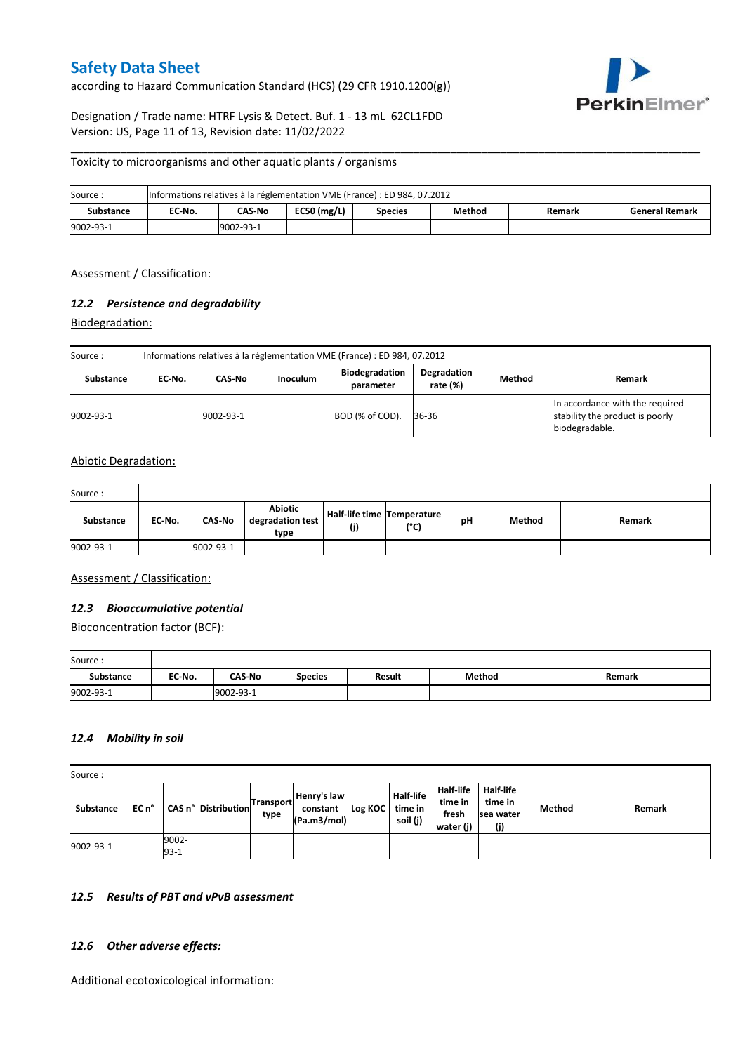according to Hazard Communication Standard (HCS) (29 CFR 1910.1200(g))



### Designation / Trade name: HTRF Lysis & Detect. Buf. 1 - 13 mL 62CL1FDD Version: US, Page 11 of 13, Revision date: 11/02/2022

#### Toxicity to microorganisms and other aquatic plants / organisms

| Source:   | Informations relatives à la réglementation VME (France) : ED 984, 07.2012 |               |               |                |        |        |                       |  |  |  |  |
|-----------|---------------------------------------------------------------------------|---------------|---------------|----------------|--------|--------|-----------------------|--|--|--|--|
| Substance | EC-No.                                                                    | <b>CAS-No</b> | $EC50$ (mg/L) | <b>Species</b> | Method | Remark | <b>General Remark</b> |  |  |  |  |
| 9002-93-1 | 9002-93-1                                                                 |               |               |                |        |        |                       |  |  |  |  |

\_\_\_\_\_\_\_\_\_\_\_\_\_\_\_\_\_\_\_\_\_\_\_\_\_\_\_\_\_\_\_\_\_\_\_\_\_\_\_\_\_\_\_\_\_\_\_\_\_\_\_\_\_\_\_\_\_\_\_\_\_\_\_\_\_\_\_\_\_\_\_\_\_\_\_\_\_\_\_\_\_\_\_\_\_\_\_\_\_\_\_\_\_\_\_\_\_\_\_\_\_

Assessment / Classification:

### *12.2 Persistence and degradability*

Biodegradation:

| Source:   | Informations relatives à la réglementation VME (France) : ED 984, 07.2012 |           |                 |                                    |                         |        |                                                                                      |  |  |  |  |
|-----------|---------------------------------------------------------------------------|-----------|-----------------|------------------------------------|-------------------------|--------|--------------------------------------------------------------------------------------|--|--|--|--|
| Substance | EC No.                                                                    | CAS-No    | <b>Inoculum</b> | <b>Biodegradation</b><br>parameter | Degradation<br>rate (%) | Method | Remark                                                                               |  |  |  |  |
| 9002-93-1 |                                                                           | 9002-93-1 |                 | BOD (% of COD).                    | 36-36                   |        | In accordance with the required<br>stability the product is poorly<br>biodegradable. |  |  |  |  |

#### Abiotic Degradation:

| Source:          |        |               |                                     |                                   |               |    |        |        |
|------------------|--------|---------------|-------------------------------------|-----------------------------------|---------------|----|--------|--------|
| <b>Substance</b> | EC-No. | <b>CAS-No</b> | Abiotic<br>degradation test<br>type | Half-life time Temperature<br>(j) | $(^{\circ}C)$ | рH | Method | Remark |
| 9002-93-1        |        | 9002-93-1     |                                     |                                   |               |    |        |        |

Assessment / Classification:

### *12.3 Bioaccumulative potential*

Bioconcentration factor (BCF):

| Source:   |        |               |                |               |        |        |
|-----------|--------|---------------|----------------|---------------|--------|--------|
| Substance | EC No. | <b>CAS-No</b> | <b>Species</b> | <b>Result</b> | Method | Remark |
| 9002-93-1 |        | 9002-93-1     |                |               |        |        |

### *12.4 Mobility in soil*

| Source:   |       |                   |                     |                          |                                        |         |                                  |                                            |                                                 |        |        |
|-----------|-------|-------------------|---------------------|--------------------------|----------------------------------------|---------|----------------------------------|--------------------------------------------|-------------------------------------------------|--------|--------|
| Substance | EC n° |                   | CAS n° Distribution | <b>Transport</b><br>type | Henry's law<br>constant<br>(Pa.m3/mol) | Log KOC | Half-life<br>time in<br>soil (j) | Half-life<br>time in<br>fresh<br>water (j) | <b>Half-life</b><br>time in<br>sea water<br>(j) | Method | Remark |
| 9002-93-1 |       | 9002-<br>$93 - 1$ |                     |                          |                                        |         |                                  |                                            |                                                 |        |        |

#### *12.5 Results of PBT and vPvB assessment*

#### *12.6 Other adverse effects:*

Additional ecotoxicological information: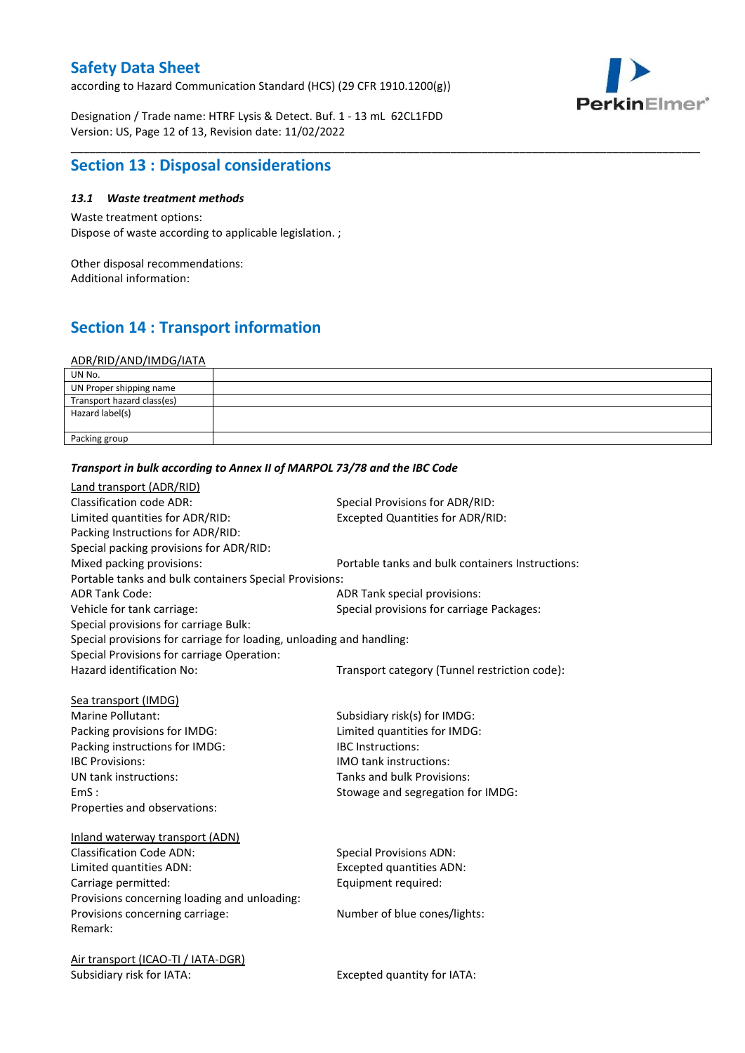according to Hazard Communication Standard (HCS) (29 CFR 1910.1200(g))



Designation / Trade name: HTRF Lysis & Detect. Buf. 1 - 13 mL 62CL1FDD Version: US, Page 12 of 13, Revision date: 11/02/2022

# **Section 13 : Disposal considerations**

## *13.1 Waste treatment methods*

Waste treatment options: Dispose of waste according to applicable legislation. ;

Other disposal recommendations: Additional information:

# **Section 14 : Transport information**

#### ADR/RID/AND/IMDG/IATA

| UN No.                     |  |
|----------------------------|--|
| UN Proper shipping name    |  |
| Transport hazard class(es) |  |
| Hazard label(s)            |  |
|                            |  |
| Packing group              |  |

\_\_\_\_\_\_\_\_\_\_\_\_\_\_\_\_\_\_\_\_\_\_\_\_\_\_\_\_\_\_\_\_\_\_\_\_\_\_\_\_\_\_\_\_\_\_\_\_\_\_\_\_\_\_\_\_\_\_\_\_\_\_\_\_\_\_\_\_\_\_\_\_\_\_\_\_\_\_\_\_\_\_\_\_\_\_\_\_\_\_\_\_\_\_\_\_\_\_\_\_\_

| Land transport (ADR/RID)                                             |                                                  |
|----------------------------------------------------------------------|--------------------------------------------------|
| <b>Classification code ADR:</b>                                      | Special Provisions for ADR/RID:                  |
| Limited quantities for ADR/RID:                                      | <b>Excepted Quantities for ADR/RID:</b>          |
| Packing Instructions for ADR/RID:                                    |                                                  |
| Special packing provisions for ADR/RID:                              |                                                  |
| Mixed packing provisions:                                            | Portable tanks and bulk containers Instructions: |
| Portable tanks and bulk containers Special Provisions:               |                                                  |
| <b>ADR Tank Code:</b>                                                | ADR Tank special provisions:                     |
| Vehicle for tank carriage:                                           | Special provisions for carriage Packages:        |
| Special provisions for carriage Bulk:                                |                                                  |
| Special provisions for carriage for loading, unloading and handling: |                                                  |
| Special Provisions for carriage Operation:                           |                                                  |
| Hazard identification No:                                            | Transport category (Tunnel restriction code):    |
|                                                                      |                                                  |
| Sea transport (IMDG)                                                 |                                                  |
| Marine Pollutant:                                                    | Subsidiary risk(s) for IMDG:                     |
| Packing provisions for IMDG:                                         | Limited quantities for IMDG:                     |
| Packing instructions for IMDG:                                       | <b>IBC</b> Instructions:                         |
| <b>IBC Provisions:</b>                                               | IMO tank instructions:                           |
| UN tank instructions:                                                | Tanks and bulk Provisions:                       |
| EmS:                                                                 | Stowage and segregation for IMDG:                |
| Properties and observations:                                         |                                                  |
|                                                                      |                                                  |
| Inland waterway transport (ADN)                                      |                                                  |
| <b>Classification Code ADN:</b>                                      | <b>Special Provisions ADN:</b>                   |
| Limited quantities ADN:                                              | <b>Excepted quantities ADN:</b>                  |
| Carriage permitted:                                                  | Equipment required:                              |
| Provisions concerning loading and unloading:                         |                                                  |
| Provisions concerning carriage:                                      | Number of blue cones/lights:                     |
| Remark:                                                              |                                                  |
|                                                                      |                                                  |
| Air transport (ICAO-TI / IATA-DGR)                                   |                                                  |
| Subsidiary risk for IATA:                                            | Excepted quantity for IATA:                      |
|                                                                      |                                                  |

# *Transport in bulk according to Annex II of MARPOL 73/78 and the IBC Code*